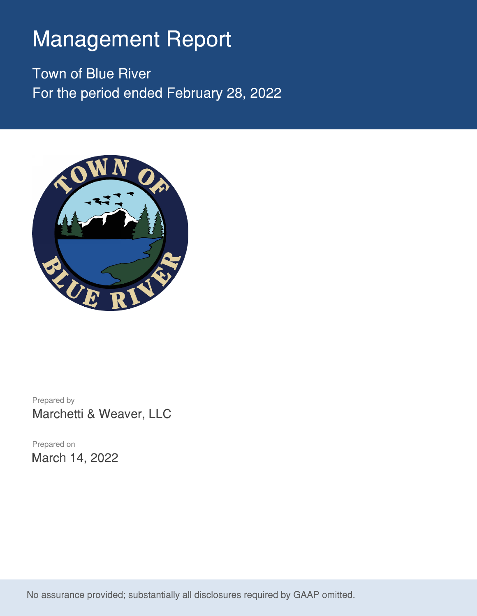# Management Report

Town of Blue River For the period ended February 28, 2022



Prepared by Marchetti & Weaver, LLC

Prepared on March 14, 2022

No assurance provided; substantially all disclosures required by GAAP omitted.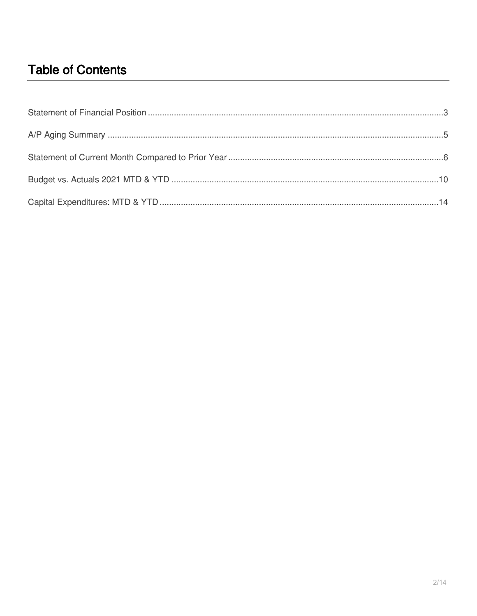### **Table of Contents**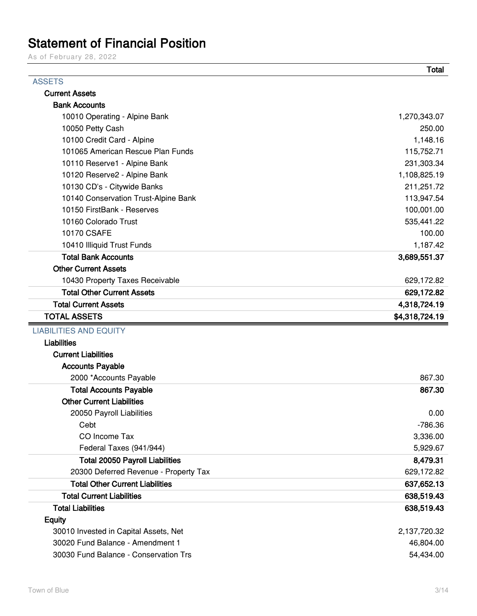## **Statement of Financial Position**

As of February 28, 2022

|                                        | <b>Total</b>   |
|----------------------------------------|----------------|
| <b>ASSETS</b>                          |                |
| <b>Current Assets</b>                  |                |
| <b>Bank Accounts</b>                   |                |
| 10010 Operating - Alpine Bank          | 1,270,343.07   |
| 10050 Petty Cash                       | 250.00         |
| 10100 Credit Card - Alpine             | 1,148.16       |
| 101065 American Rescue Plan Funds      | 115,752.71     |
| 10110 Reserve1 - Alpine Bank           | 231,303.34     |
| 10120 Reserve2 - Alpine Bank           | 1,108,825.19   |
| 10130 CD's - Citywide Banks            | 211,251.72     |
| 10140 Conservation Trust-Alpine Bank   | 113,947.54     |
| 10150 FirstBank - Reserves             | 100,001.00     |
| 10160 Colorado Trust                   | 535,441.22     |
| <b>10170 CSAFE</b>                     | 100.00         |
| 10410 Illiquid Trust Funds             | 1,187.42       |
| <b>Total Bank Accounts</b>             | 3,689,551.37   |
| <b>Other Current Assets</b>            |                |
| 10430 Property Taxes Receivable        | 629,172.82     |
| <b>Total Other Current Assets</b>      | 629,172.82     |
| <b>Total Current Assets</b>            | 4,318,724.19   |
| <b>TOTAL ASSETS</b>                    | \$4,318,724.19 |
| <b>LIABILITIES AND EQUITY</b>          |                |
| <b>Liabilities</b>                     |                |
| <b>Current Liabilities</b>             |                |
| <b>Accounts Payable</b>                |                |
| 2000 *Accounts Payable                 | 867.30         |
| <b>Total Accounts Payable</b>          | 867.30         |
| <b>Other Current Liabilities</b>       |                |
| 20050 Payroll Liabilities              | 0.00           |
| Cebt                                   | $-786.36$      |
| CO Income Tax                          | 3,336.00       |
| Federal Taxes (941/944)                | 5,929.67       |
| <b>Total 20050 Payroll Liabilities</b> | 8,479.31       |
| 20300 Deferred Revenue - Property Tax  | 629,172.82     |
| <b>Total Other Current Liabilities</b> | 637,652.13     |
| <b>Total Current Liabilities</b>       | 638,519.43     |
| <b>Total Liabilities</b>               | 638,519.43     |
| <b>Equity</b>                          |                |
| 30010 Invested in Capital Assets, Net  | 2,137,720.32   |
|                                        |                |
| 30020 Fund Balance - Amendment 1       | 46,804.00      |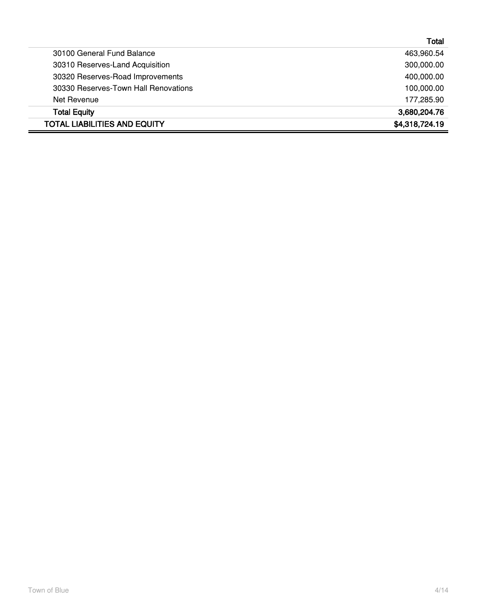|                                      | Total          |
|--------------------------------------|----------------|
| 30100 General Fund Balance           | 463,960.54     |
| 30310 Reserves-Land Acquisition      | 300,000.00     |
| 30320 Reserves-Road Improvements     | 400,000.00     |
| 30330 Reserves-Town Hall Renovations | 100,000.00     |
| Net Revenue                          | 177,285.90     |
| <b>Total Equity</b>                  | 3,680,204.76   |
| <b>TOTAL LIABILITIES AND EQUITY</b>  | \$4,318,724.19 |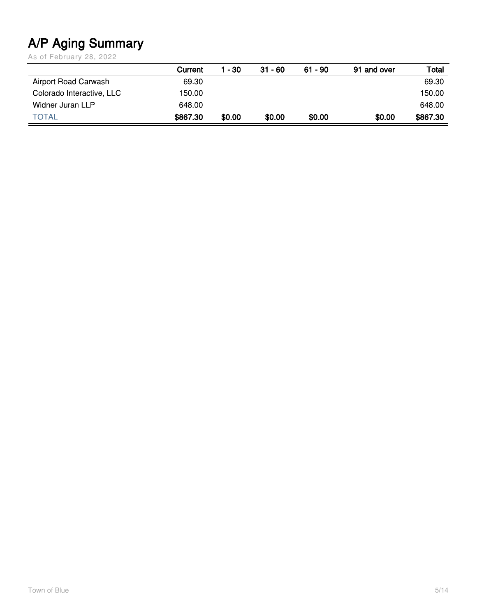# **A/P Aging Summary**

As of February 28, 2022

|                           | Current  | 1 - 30 | $31 - 60$ | $61 - 90$ | 91 and over | Total    |
|---------------------------|----------|--------|-----------|-----------|-------------|----------|
| Airport Road Carwash      | 69.30    |        |           |           |             | 69.30    |
| Colorado Interactive, LLC | 150.00   |        |           |           |             | 150.00   |
| Widner Juran LLP          | 648.00   |        |           |           |             | 648.00   |
| <b>TOTAL</b>              | \$867.30 | \$0.00 | \$0.00    | \$0.00    | \$0.00      | \$867.30 |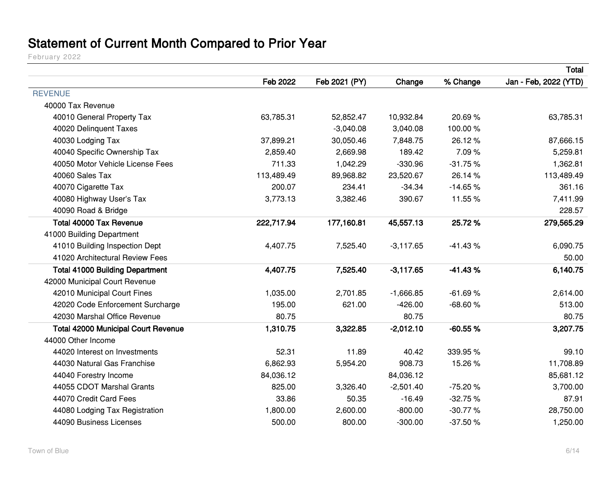# **Statement of Current Month Compared to Prior Year**

February 2022

|                                            |            |               |             |           | Total                 |
|--------------------------------------------|------------|---------------|-------------|-----------|-----------------------|
|                                            | Feb 2022   | Feb 2021 (PY) | Change      | % Change  | Jan - Feb, 2022 (YTD) |
| <b>REVENUE</b>                             |            |               |             |           |                       |
| 40000 Tax Revenue                          |            |               |             |           |                       |
| 40010 General Property Tax                 | 63,785.31  | 52,852.47     | 10,932.84   | 20.69%    | 63,785.31             |
| 40020 Delinquent Taxes                     |            | $-3,040.08$   | 3,040.08    | 100.00%   |                       |
| 40030 Lodging Tax                          | 37,899.21  | 30,050.46     | 7,848.75    | 26.12%    | 87,666.15             |
| 40040 Specific Ownership Tax               | 2,859.40   | 2,669.98      | 189.42      | 7.09%     | 5,259.81              |
| 40050 Motor Vehicle License Fees           | 711.33     | 1,042.29      | $-330.96$   | $-31.75%$ | 1,362.81              |
| 40060 Sales Tax                            | 113,489.49 | 89,968.82     | 23,520.67   | 26.14%    | 113,489.49            |
| 40070 Cigarette Tax                        | 200.07     | 234.41        | $-34.34$    | $-14.65%$ | 361.16                |
| 40080 Highway User's Tax                   | 3,773.13   | 3,382.46      | 390.67      | 11.55 %   | 7,411.99              |
| 40090 Road & Bridge                        |            |               |             |           | 228.57                |
| <b>Total 40000 Tax Revenue</b>             | 222,717.94 | 177,160.81    | 45,557.13   | 25.72%    | 279,565.29            |
| 41000 Building Department                  |            |               |             |           |                       |
| 41010 Building Inspection Dept             | 4,407.75   | 7,525.40      | $-3,117.65$ | $-41.43%$ | 6,090.75              |
| 41020 Architectural Review Fees            |            |               |             |           | 50.00                 |
| <b>Total 41000 Building Department</b>     | 4,407.75   | 7,525.40      | $-3,117.65$ | $-41.43%$ | 6,140.75              |
| 42000 Municipal Court Revenue              |            |               |             |           |                       |
| 42010 Municipal Court Fines                | 1,035.00   | 2,701.85      | $-1,666.85$ | $-61.69%$ | 2,614.00              |
| 42020 Code Enforcement Surcharge           | 195.00     | 621.00        | $-426.00$   | $-68.60%$ | 513.00                |
| 42030 Marshal Office Revenue               | 80.75      |               | 80.75       |           | 80.75                 |
| <b>Total 42000 Municipal Court Revenue</b> | 1,310.75   | 3,322.85      | $-2,012.10$ | $-60.55%$ | 3,207.75              |
| 44000 Other Income                         |            |               |             |           |                       |
| 44020 Interest on Investments              | 52.31      | 11.89         | 40.42       | 339.95 %  | 99.10                 |
| 44030 Natural Gas Franchise                | 6,862.93   | 5,954.20      | 908.73      | 15.26%    | 11,708.89             |
| 44040 Forestry Income                      | 84,036.12  |               | 84,036.12   |           | 85,681.12             |
| 44055 CDOT Marshal Grants                  | 825.00     | 3,326.40      | $-2,501.40$ | $-75.20%$ | 3,700.00              |
| 44070 Credit Card Fees                     | 33.86      | 50.35         | $-16.49$    | $-32.75%$ | 87.91                 |
| 44080 Lodging Tax Registration             | 1,800.00   | 2,600.00      | $-800.00$   | $-30.77%$ | 28,750.00             |
| 44090 Business Licenses                    | 500.00     | 800.00        | $-300.00$   | $-37.50%$ | 1,250.00              |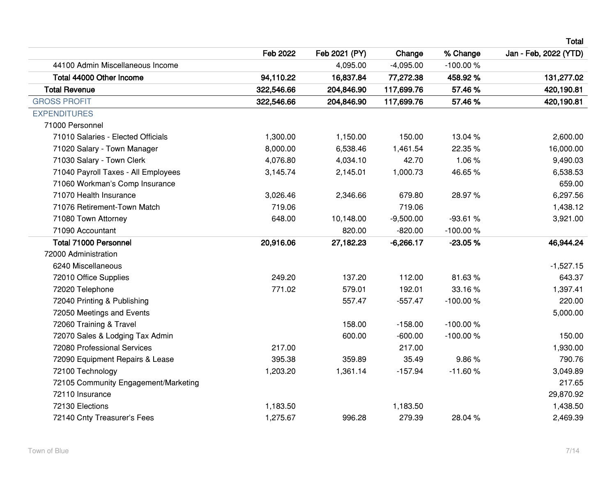**Total**

|                                      | Feb 2022   | Feb 2021 (PY) | Change      | % Change   | Jan - Feb, 2022 (YTD) |
|--------------------------------------|------------|---------------|-------------|------------|-----------------------|
| 44100 Admin Miscellaneous Income     |            | 4,095.00      | $-4,095.00$ | $-100.00%$ |                       |
| Total 44000 Other Income             | 94,110.22  | 16,837.84     | 77,272.38   | 458.92%    | 131,277.02            |
| <b>Total Revenue</b>                 | 322,546.66 | 204,846.90    | 117,699.76  | 57.46%     | 420,190.81            |
| <b>GROSS PROFIT</b>                  | 322,546.66 | 204,846.90    | 117,699.76  | 57.46%     | 420,190.81            |
| <b>EXPENDITURES</b>                  |            |               |             |            |                       |
| 71000 Personnel                      |            |               |             |            |                       |
| 71010 Salaries - Elected Officials   | 1,300.00   | 1,150.00      | 150.00      | 13.04 %    | 2,600.00              |
| 71020 Salary - Town Manager          | 8,000.00   | 6,538.46      | 1,461.54    | 22.35 %    | 16,000.00             |
| 71030 Salary - Town Clerk            | 4,076.80   | 4,034.10      | 42.70       | 1.06%      | 9,490.03              |
| 71040 Payroll Taxes - All Employees  | 3,145.74   | 2,145.01      | 1,000.73    | 46.65%     | 6,538.53              |
| 71060 Workman's Comp Insurance       |            |               |             |            | 659.00                |
| 71070 Health Insurance               | 3,026.46   | 2,346.66      | 679.80      | 28.97%     | 6,297.56              |
| 71076 Retirement-Town Match          | 719.06     |               | 719.06      |            | 1,438.12              |
| 71080 Town Attorney                  | 648.00     | 10,148.00     | $-9,500.00$ | $-93.61%$  | 3,921.00              |
| 71090 Accountant                     |            | 820.00        | $-820.00$   | $-100.00%$ |                       |
| <b>Total 71000 Personnel</b>         | 20,916.06  | 27,182.23     | $-6,266.17$ | $-23.05%$  | 46,944.24             |
| 72000 Administration                 |            |               |             |            |                       |
| 6240 Miscellaneous                   |            |               |             |            | $-1,527.15$           |
| 72010 Office Supplies                | 249.20     | 137.20        | 112.00      | 81.63%     | 643.37                |
| 72020 Telephone                      | 771.02     | 579.01        | 192.01      | 33.16%     | 1,397.41              |
| 72040 Printing & Publishing          |            | 557.47        | $-557.47$   | $-100.00%$ | 220.00                |
| 72050 Meetings and Events            |            |               |             |            | 5,000.00              |
| 72060 Training & Travel              |            | 158.00        | $-158.00$   | $-100.00%$ |                       |
| 72070 Sales & Lodging Tax Admin      |            | 600.00        | $-600.00$   | $-100.00%$ | 150.00                |
| 72080 Professional Services          | 217.00     |               | 217.00      |            | 1,930.00              |
| 72090 Equipment Repairs & Lease      | 395.38     | 359.89        | 35.49       | 9.86%      | 790.76                |
| 72100 Technology                     | 1,203.20   | 1,361.14      | $-157.94$   | $-11.60%$  | 3,049.89              |
| 72105 Community Engagement/Marketing |            |               |             |            | 217.65                |
| 72110 Insurance                      |            |               |             |            | 29,870.92             |
| 72130 Elections                      | 1,183.50   |               | 1,183.50    |            | 1,438.50              |
| 72140 Cnty Treasurer's Fees          | 1,275.67   | 996.28        | 279.39      | 28.04%     | 2,469.39              |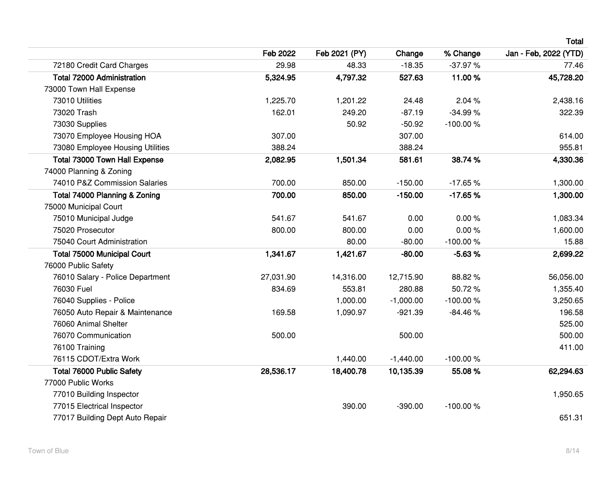|                                    | Feb 2022  | Feb 2021 (PY) | Change      | % Change   | Jan - Feb, 2022 (YTD) |
|------------------------------------|-----------|---------------|-------------|------------|-----------------------|
| 72180 Credit Card Charges          | 29.98     | 48.33         | $-18.35$    | $-37.97%$  | 77.46                 |
| <b>Total 72000 Administration</b>  | 5,324.95  | 4,797.32      | 527.63      | 11.00%     | 45,728.20             |
| 73000 Town Hall Expense            |           |               |             |            |                       |
| 73010 Utilities                    | 1,225.70  | 1,201.22      | 24.48       | 2.04 %     | 2,438.16              |
| 73020 Trash                        | 162.01    | 249.20        | $-87.19$    | $-34.99%$  | 322.39                |
| 73030 Supplies                     |           | 50.92         | $-50.92$    | $-100.00%$ |                       |
| 73070 Employee Housing HOA         | 307.00    |               | 307.00      |            | 614.00                |
| 73080 Employee Housing Utilities   | 388.24    |               | 388.24      |            | 955.81                |
| Total 73000 Town Hall Expense      | 2,082.95  | 1,501.34      | 581.61      | 38.74 %    | 4,330.36              |
| 74000 Planning & Zoning            |           |               |             |            |                       |
| 74010 P&Z Commission Salaries      | 700.00    | 850.00        | $-150.00$   | $-17.65%$  | 1,300.00              |
| Total 74000 Planning & Zoning      | 700.00    | 850.00        | $-150.00$   | $-17.65%$  | 1,300.00              |
| 75000 Municipal Court              |           |               |             |            |                       |
| 75010 Municipal Judge              | 541.67    | 541.67        | 0.00        | 0.00%      | 1,083.34              |
| 75020 Prosecutor                   | 800.00    | 800.00        | 0.00        | 0.00%      | 1,600.00              |
| 75040 Court Administration         |           | 80.00         | $-80.00$    | $-100.00%$ | 15.88                 |
| <b>Total 75000 Municipal Court</b> | 1,341.67  | 1,421.67      | $-80.00$    | $-5.63%$   | 2,699.22              |
| 76000 Public Safety                |           |               |             |            |                       |
| 76010 Salary - Police Department   | 27,031.90 | 14,316.00     | 12,715.90   | 88.82%     | 56,056.00             |
| 76030 Fuel                         | 834.69    | 553.81        | 280.88      | 50.72%     | 1,355.40              |
| 76040 Supplies - Police            |           | 1,000.00      | $-1,000.00$ | $-100.00%$ | 3,250.65              |
| 76050 Auto Repair & Maintenance    | 169.58    | 1,090.97      | $-921.39$   | $-84.46%$  | 196.58                |
| 76060 Animal Shelter               |           |               |             |            | 525.00                |
| 76070 Communication                | 500.00    |               | 500.00      |            | 500.00                |
| 76100 Training                     |           |               |             |            | 411.00                |
| 76115 CDOT/Extra Work              |           | 1,440.00      | $-1,440.00$ | $-100.00%$ |                       |
| <b>Total 76000 Public Safety</b>   | 28,536.17 | 18,400.78     | 10,135.39   | 55.08%     | 62,294.63             |
| 77000 Public Works                 |           |               |             |            |                       |
| 77010 Building Inspector           |           |               |             |            | 1,950.65              |
| 77015 Electrical Inspector         |           | 390.00        | $-390.00$   | $-100.00%$ |                       |
| 77017 Building Dept Auto Repair    |           |               |             |            | 651.31                |

**Total**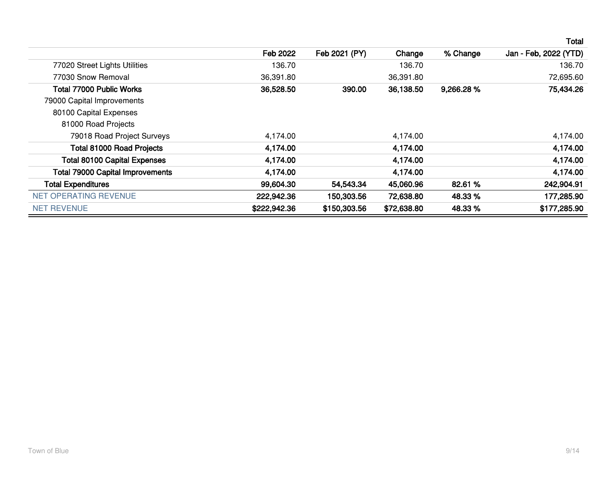|                                         |              |               |             |           | Total                 |
|-----------------------------------------|--------------|---------------|-------------|-----------|-----------------------|
|                                         | Feb 2022     | Feb 2021 (PY) | Change      | % Change  | Jan - Feb, 2022 (YTD) |
| 77020 Street Lights Utilities           | 136.70       |               | 136.70      |           | 136.70                |
| 77030 Snow Removal                      | 36,391.80    |               | 36,391.80   |           | 72,695.60             |
| <b>Total 77000 Public Works</b>         | 36,528.50    | 390.00        | 36,138.50   | 9,266.28% | 75,434.26             |
| 79000 Capital Improvements              |              |               |             |           |                       |
| 80100 Capital Expenses                  |              |               |             |           |                       |
| 81000 Road Projects                     |              |               |             |           |                       |
| 79018 Road Project Surveys              | 4,174.00     |               | 4,174.00    |           | 4,174.00              |
| <b>Total 81000 Road Projects</b>        | 4,174.00     |               | 4,174.00    |           | 4,174.00              |
| <b>Total 80100 Capital Expenses</b>     | 4,174.00     |               | 4,174.00    |           | 4,174.00              |
| <b>Total 79000 Capital Improvements</b> | 4,174.00     |               | 4,174.00    |           | 4,174.00              |
| <b>Total Expenditures</b>               | 99,604.30    | 54,543.34     | 45,060.96   | 82.61 %   | 242,904.91            |
| NET OPERATING REVENUE                   | 222,942.36   | 150,303.56    | 72,638.80   | 48.33 %   | 177,285.90            |
| <b>NET REVENUE</b>                      | \$222,942.36 | \$150,303.56  | \$72,638.80 | 48.33 %   | \$177,285.90          |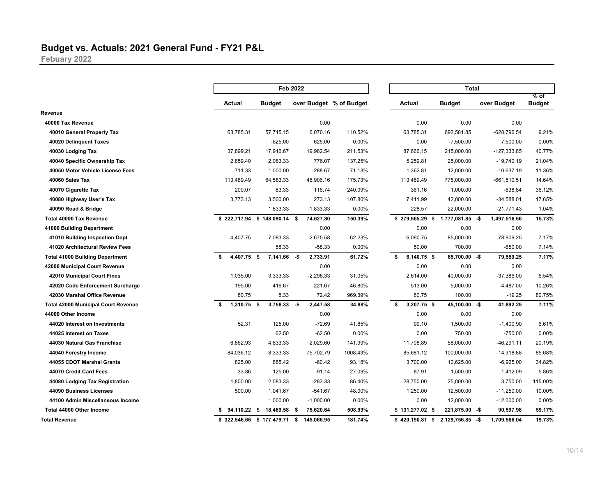#### **Budget vs. Actuals: 2021 General Fund - FY21 P&L**

**Febuary 2022**

|                                            |    |               |                              | <b>Feb 2022</b>    |                         |                  | <b>Total</b> |                  |             |               |                       |
|--------------------------------------------|----|---------------|------------------------------|--------------------|-------------------------|------------------|--------------|------------------|-------------|---------------|-----------------------|
|                                            |    | Actual        | <b>Budget</b>                |                    | over Budget % of Budget | <b>Actual</b>    |              | <b>Budget</b>    | over Budget |               | % of<br><b>Budget</b> |
| Revenue                                    |    |               |                              |                    |                         |                  |              |                  |             |               |                       |
| 40000 Tax Revenue                          |    |               |                              | 0.00               |                         |                  | 0.00         | 0.00             |             | 0.00          |                       |
| 40010 General Property Tax                 |    | 63,785.31     | 57,715.15                    | 6,070.16           | 110.52%                 | 63,785.31        |              | 692,581.85       |             | $-628,796.54$ | 9.21%                 |
| 40020 Delinquent Taxes                     |    |               | $-625.00$                    | 625.00             | 0.00%                   |                  | 0.00         | $-7,500.00$      |             | 7,500.00      | 0.00%                 |
| 40030 Lodging Tax                          |    | 37,899.21     | 17,916.67                    | 19,982.54          | 211.53%                 | 87,666.15        |              | 215,000.00       |             | $-127,333.85$ | 40.77%                |
| 40040 Specific Ownership Tax               |    | 2,859.40      | 2,083.33                     | 776.07             | 137.25%                 | 5,259.81         |              | 25,000.00        |             | $-19,740.19$  | 21.04%                |
| 40050 Motor Vehicle License Fees           |    | 711.33        | 1,000.00                     | $-288.67$          | 71.13%                  | 1,362.81         |              | 12,000.00        |             | $-10,637.19$  | 11.36%                |
| 40060 Sales Tax                            |    | 113,489.49    | 64,583.33                    | 48,906.16          | 175.73%                 | 113,489.49       |              | 775,000.00       |             | $-661,510.51$ | 14.64%                |
| 40070 Cigarette Tax                        |    | 200.07        | 83.33                        | 116.74             | 240.09%                 |                  | 361.16       | 1,000.00         |             | $-638.84$     | 36.12%                |
| 40080 Highway User's Tax                   |    | 3,773.13      | 3,500.00                     | 273.13             | 107.80%                 | 7,411.99         |              | 42,000.00        |             | $-34,588.01$  | 17.65%                |
| 40090 Road & Bridge                        |    |               | 1,833.33                     | $-1,833.33$        | 0.00%                   |                  | 228.57       | 22,000.00        |             | $-21,771.43$  | 1.04%                 |
| <b>Total 40000 Tax Revenue</b>             |    |               | \$222,717.94 \$148,090.14 \$ | 74,627.80          | 150.39%                 | \$279,565.29     | - \$         | 1,777,081.85 -\$ |             | 1,497,516.56  | 15.73%                |
| 41000 Building Department                  |    |               |                              | 0.00               |                         |                  | 0.00         | 0.00             |             | 0.00          |                       |
| 41010 Building Inspection Dept             |    | 4,407.75      | 7,083.33                     | $-2,675.58$        | 62.23%                  | 6,090.75         |              | 85,000.00        |             | -78,909.25    | 7.17%                 |
| 41020 Architectural Review Fees            |    |               | 58.33                        | $-58.33$           | 0.00%                   |                  | 50.00        | 700.00           |             | $-650.00$     | 7.14%                 |
| <b>Total 41000 Building Department</b>     | Ŝ. | $4,407.75$ \$ | 7,141.66                     | -\$<br>2,733.91    | 61.72%                  | \$               | 6,140.75 \$  | 85,700.00 -\$    |             | 79,559.25     | 7.17%                 |
| 42000 Municipal Court Revenue              |    |               |                              | 0.00               |                         |                  | 0.00         | 0.00             |             | 0.00          |                       |
| 42010 Municipal Court Fines                |    | 1,035.00      | 3,333.33                     | $-2,298.33$        | 31.05%                  | 2,614.00         |              | 40,000.00        |             | $-37,386.00$  | 6.54%                 |
| 42020 Code Enforcement Surcharge           |    | 195.00        | 416.67                       | $-221.67$          | 46.80%                  |                  | 513.00       | 5,000.00         |             | $-4,487.00$   | 10.26%                |
| 42030 Marshal Office Revenue               |    | 80.75         | 8.33                         | 72.42              | 969.39%                 |                  | 80.75        | 100.00           |             | $-19.25$      | 80.75%                |
| <b>Total 42000 Municipal Court Revenue</b> | \$ | $1,310.75$ \$ | 3,758.33                     | 2,447.58<br>-\$    | 34.88%                  | \$               | 3,207.75 \$  | 45,100.00 -\$    |             | 41,892.25     | 7.11%                 |
| 44000 Other Income                         |    |               |                              | 0.00               |                         |                  | 0.00         | 0.00             |             | 0.00          |                       |
| 44020 Interest on Investments              |    | 52.31         | 125.00                       | $-72.69$           | 41.85%                  |                  | 99.10        | 1,500.00         |             | $-1,400.90$   | 6.61%                 |
| 44025 Interest on Taxes                    |    |               | 62.50                        | $-62.50$           | 0.00%                   |                  | 0.00         | 750.00           |             | $-750.00$     | 0.00%                 |
| 44030 Natural Gas Franchise                |    | 6,862.93      | 4,833.33                     | 2,029.60           | 141.99%                 | 11,708.89        |              | 58,000.00        |             | $-46,291.11$  | 20.19%                |
| 44040 Forestry Income                      |    | 84,036.12     | 8,333.33                     | 75,702.79          | 1008.43%                | 85,681.12        |              | 100,000.00       |             | $-14,318.88$  | 85.68%                |
| 44055 CDOT Marshal Grants                  |    | 825.00        | 885.42                       | $-60.42$           | 93.18%                  | 3,700.00         |              | 10,625.00        |             | $-6,925.00$   | 34.82%                |
| 44070 Credit Card Fees                     |    | 33.86         | 125.00                       | $-91.14$           | 27.09%                  |                  | 87.91        | 1,500.00         |             | $-1,412.09$   | 5.86%                 |
| 44080 Lodging Tax Registration             |    | 1,800.00      | 2,083.33                     | $-283.33$          | 86.40%                  | 28,750.00        |              | 25,000.00        |             | 3,750.00      | 115.00%               |
| 44090 Business Licenses                    |    | 500.00        | 1,041.67                     | $-541.67$          | 48.00%                  | 1,250.00         |              | 12,500.00        |             | $-11,250.00$  | 10.00%                |
| 44100 Admin Miscellaneous Income           |    |               | 1,000.00                     | $-1,000.00$        | 0.00%                   |                  | 0.00         | 12,000.00        |             | $-12,000.00$  | 0.00%                 |
| Total 44000 Other Income                   |    | 94,110.22 \$  | 18,489.58                    | - \$<br>75,620.64  | 508.99%                 | $$131,277.02$ \$ |              | 221,875.00 -\$   |             | 90,597.98     | 59.17%                |
| <b>Total Revenue</b>                       |    |               | \$322,546.66 \$177,479.71    | - \$<br>145,066.95 | 181.74%                 | $$420,190.81$ \$ |              | 2,129,756.85     | -\$         | 1,709,566.04  | 19.73%                |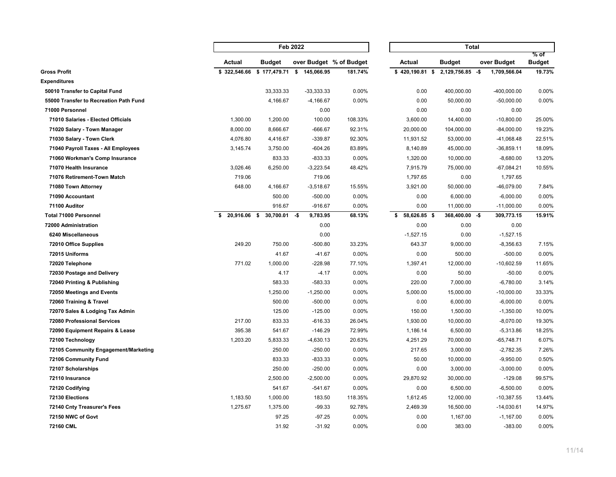|                                        |              |                            | Feb 2022                |          |                    | <b>Total</b>   |                     |                       |  |  |  |
|----------------------------------------|--------------|----------------------------|-------------------------|----------|--------------------|----------------|---------------------|-----------------------|--|--|--|
|                                        | Actual       | <b>Budget</b>              | over Budget % of Budget |          | Actual             | <b>Budget</b>  | over Budget         | % of<br><b>Budget</b> |  |  |  |
| <b>Gross Profit</b>                    | \$322,546.66 | \$177,479.71               | \$145,066.95            | 181.74%  | $$420,190.81$ \$   | 2,129,756.85   | -\$<br>1,709,566.04 | 19.73%                |  |  |  |
| <b>Expenditures</b>                    |              |                            |                         |          |                    |                |                     |                       |  |  |  |
| 50010 Transfer to Capital Fund         |              | 33,333.33                  | $-33,333.33$            | 0.00%    | 0.00               | 400,000.00     | $-400,000.00$       | 0.00%                 |  |  |  |
| 55000 Transfer to Recreation Path Fund |              | 4,166.67                   | $-4,166.67$             | 0.00%    | 0.00               | 50,000.00      | $-50,000.00$        | 0.00%                 |  |  |  |
| 71000 Personnel                        |              |                            | 0.00                    |          | 0.00               | 0.00           | 0.00                |                       |  |  |  |
| 71010 Salaries - Elected Officials     | 1,300.00     | 1,200.00                   | 100.00                  | 108.33%  | 3,600.00           | 14,400.00      | $-10,800.00$        | 25.00%                |  |  |  |
| 71020 Salary - Town Manager            | 8,000.00     | 8,666.67                   | $-666.67$               | 92.31%   | 20,000.00          | 104,000.00     | $-84,000.00$        | 19.23%                |  |  |  |
| 71030 Salary - Town Clerk              | 4,076.80     | 4,416.67                   | $-339.87$               | 92.30%   | 11,931.52          | 53,000.00      | $-41,068.48$        | 22.51%                |  |  |  |
| 71040 Payroll Taxes - All Employees    | 3,145.74     | 3,750.00                   | $-604.26$               | 83.89%   | 8,140.89           | 45,000.00      | $-36,859.11$        | 18.09%                |  |  |  |
| 71060 Workman's Comp Insurance         |              | 833.33                     | $-833.33$               | 0.00%    | 1,320.00           | 10,000.00      | $-8,680.00$         | 13.20%                |  |  |  |
| 71070 Health Insurance                 | 3,026.46     | 6,250.00                   | $-3,223.54$             | 48.42%   | 7,915.79           | 75,000.00      | $-67,084.21$        | 10.55%                |  |  |  |
| 71076 Retirement-Town Match            | 719.06       |                            | 719.06                  |          | 1,797.65           | 0.00           | 1,797.65            |                       |  |  |  |
| 71080 Town Attorney                    | 648.00       | 4,166.67                   | $-3,518.67$             | 15.55%   | 3,921.00           | 50,000.00      | $-46,079.00$        | 7.84%                 |  |  |  |
| 71090 Accountant                       |              | 500.00                     | $-500.00$               | 0.00%    | 0.00               | 6,000.00       | $-6,000.00$         | 0.00%                 |  |  |  |
| 71100 Auditor                          |              | 916.67                     | $-916.67$               | 0.00%    | 0.00               | 11,000.00      | $-11,000.00$        | 0.00%                 |  |  |  |
| <b>Total 71000 Personnel</b>           | s.           | 20,916.06 \$ 30,700.01 -\$ | 9,783.95                | 68.13%   | 58,626.85 \$<br>\$ | 368,400.00 -\$ | 309,773.15          | 15.91%                |  |  |  |
| 72000 Administration                   |              |                            | 0.00                    |          | 0.00               | 0.00           | 0.00                |                       |  |  |  |
| 6240 Miscellaneous                     |              |                            | 0.00                    |          | $-1,527.15$        | 0.00           | $-1,527.15$         |                       |  |  |  |
| 72010 Office Supplies                  | 249.20       | 750.00                     | $-500.80$               | 33.23%   | 643.37             | 9,000.00       | $-8,356.63$         | 7.15%                 |  |  |  |
| 72015 Uniforms                         |              | 41.67                      | $-41.67$                | 0.00%    | 0.00               | 500.00         | $-500.00$           | 0.00%                 |  |  |  |
| 72020 Telephone                        | 771.02       | 1,000.00                   | $-228.98$               | 77.10%   | 1,397.41           | 12,000.00      | $-10,602.59$        | 11.65%                |  |  |  |
| 72030 Postage and Delivery             |              | 4.17                       | $-4.17$                 | $0.00\%$ | 0.00               | 50.00          | $-50.00$            | 0.00%                 |  |  |  |
| 72040 Printing & Publishing            |              | 583.33                     | $-583.33$               | 0.00%    | 220.00             | 7,000.00       | $-6,780.00$         | 3.14%                 |  |  |  |
| 72050 Meetings and Events              |              | 1,250.00                   | $-1,250.00$             | 0.00%    | 5,000.00           | 15,000.00      | $-10,000.00$        | 33.33%                |  |  |  |
| 72060 Training & Travel                |              | 500.00                     | $-500.00$               | $0.00\%$ | 0.00               | 6,000.00       | $-6,000.00$         | 0.00%                 |  |  |  |
| 72070 Sales & Lodging Tax Admin        |              | 125.00                     | $-125.00$               | 0.00%    | 150.00             | 1,500.00       | $-1,350.00$         | 10.00%                |  |  |  |
| <b>72080 Professional Services</b>     | 217.00       | 833.33                     | $-616.33$               | 26.04%   | 1,930.00           | 10,000.00      | $-8,070.00$         | 19.30%                |  |  |  |
| 72090 Equipment Repairs & Lease        | 395.38       | 541.67                     | $-146.29$               | 72.99%   | 1,186.14           | 6,500.00       | $-5,313.86$         | 18.25%                |  |  |  |
| 72100 Technology                       | 1,203.20     | 5,833.33                   | $-4,630.13$             | 20.63%   | 4,251.29           | 70,000.00      | $-65,748.71$        | 6.07%                 |  |  |  |
| 72105 Community Engagement/Marketing   |              | 250.00                     | $-250.00$               | 0.00%    | 217.65             | 3,000.00       | $-2,782.35$         | 7.26%                 |  |  |  |
| 72106 Community Fund                   |              | 833.33                     | $-833.33$               | 0.00%    | 50.00              | 10,000.00      | $-9,950.00$         | 0.50%                 |  |  |  |
| 72107 Scholarships                     |              | 250.00                     | $-250.00$               | 0.00%    | 0.00               | 3,000.00       | $-3,000.00$         | 0.00%                 |  |  |  |
| 72110 Insurance                        |              | 2,500.00                   | $-2,500.00$             | 0.00%    | 29,870.92          | 30,000.00      | $-129.08$           | 99.57%                |  |  |  |
| 72120 Codifying                        |              | 541.67                     | $-541.67$               | 0.00%    | 0.00               | 6,500.00       | $-6,500.00$         | 0.00%                 |  |  |  |
| 72130 Elections                        | 1,183.50     | 1,000.00                   | 183.50                  | 118.35%  | 1,612.45           | 12,000.00      | $-10,387.55$        | 13.44%                |  |  |  |
| 72140 Cnty Treasurer's Fees            | 1,275.67     | 1,375.00                   | $-99.33$                | 92.78%   | 2,469.39           | 16,500.00      | $-14,030.61$        | 14.97%                |  |  |  |
| 72150 NWC of Govt                      |              | 97.25                      | $-97.25$                | 0.00%    | 0.00               | 1,167.00       | $-1,167.00$         | 0.00%                 |  |  |  |
| 72160 CML                              |              | 31.92                      | $-31.92$                | 0.00%    | 0.00               | 383.00         | $-383.00$           | 0.00%                 |  |  |  |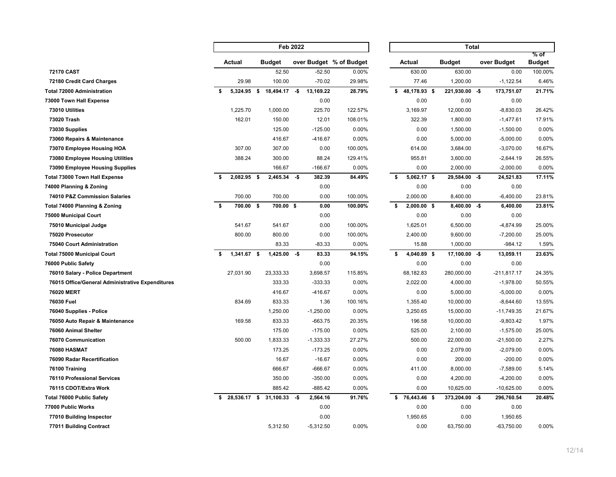|                                                  |    |               | Feb 2022                   |     |             |                         | Total               |                 |  |               |                       |  |  |
|--------------------------------------------------|----|---------------|----------------------------|-----|-------------|-------------------------|---------------------|-----------------|--|---------------|-----------------------|--|--|
|                                                  |    | Actual        | <b>Budget</b>              |     |             | over Budget % of Budget | Actual              | <b>Budget</b>   |  | over Budget   | % of<br><b>Budget</b> |  |  |
| 72170 CAST                                       |    |               | 52.50                      |     | $-52.50$    | 0.00%                   | 630.00              | 630.00          |  | 0.00          | 100.00%               |  |  |
| 72180 Credit Card Charges                        |    | 29.98         | 100.00                     |     | $-70.02$    | 29.98%                  | 77.46               | 1,200.00        |  | $-1,122.54$   | 6.46%                 |  |  |
| <b>Total 72000 Administration</b>                | s. | 5,324.95 \$   | 18,494.17 -\$              |     | 13,169.22   | 28.79%                  | \$48,178.93\$       | 221,930.00 -\$  |  | 173,751.07    | 21.71%                |  |  |
| 73000 Town Hall Expense                          |    |               |                            |     | 0.00        |                         | 0.00                | 0.00            |  | 0.00          |                       |  |  |
| 73010 Utilities                                  |    | 1,225.70      | 1,000.00                   |     | 225.70      | 122.57%                 | 3,169.97            | 12,000.00       |  | $-8,830.03$   | 26.42%                |  |  |
| 73020 Trash                                      |    | 162.01        | 150.00                     |     | 12.01       | 108.01%                 | 322.39              | 1,800.00        |  | $-1,477.61$   | 17.91%                |  |  |
| 73030 Supplies                                   |    |               | 125.00                     |     | $-125.00$   | 0.00%                   | 0.00                | 1,500.00        |  | $-1,500.00$   | 0.00%                 |  |  |
| 73060 Repairs & Maintenance                      |    |               | 416.67                     |     | $-416.67$   | 0.00%                   | 0.00                | 5,000.00        |  | $-5,000.00$   | 0.00%                 |  |  |
| 73070 Employee Housing HOA                       |    | 307.00        | 307.00                     |     | 0.00        | 100.00%                 | 614.00              | 3,684.00        |  | $-3,070.00$   | 16.67%                |  |  |
| <b>73080 Employee Housing Utilities</b>          |    | 388.24        | 300.00                     |     | 88.24       | 129.41%                 | 955.81              | 3,600.00        |  | $-2,644.19$   | 26.55%                |  |  |
| 73090 Employee Housing Supplies                  |    |               | 166.67                     |     | $-166.67$   | 0.00%                   | 0.00                | 2,000.00        |  | $-2,000.00$   | 0.00%                 |  |  |
| Total 73000 Town Hall Expense                    | \$ | 2,082.95 \$   | 2,465.34                   | -\$ | 382.39      | 84.49%                  | \$<br>$5,062.17$ \$ | 29,584.00 -\$   |  | 24,521.83     | 17.11%                |  |  |
| 74000 Planning & Zoning                          |    |               |                            |     | 0.00        |                         | 0.00                | 0.00            |  | 0.00          |                       |  |  |
| 74010 P&Z Commission Salaries                    |    | 700.00        | 700.00                     |     | 0.00        | 100.00%                 | 2,000.00            | 8,400.00        |  | $-6,400.00$   | 23.81%                |  |  |
| Total 74000 Planning & Zoning                    | \$ | 700.00 \$     | 700.00 \$                  |     | 0.00        | 100.00%                 | \$<br>$2,000.00$ \$ | $8,400.00 - $$  |  | 6,400.00      | 23.81%                |  |  |
| 75000 Municipal Court                            |    |               |                            |     | 0.00        |                         | 0.00                | 0.00            |  | 0.00          |                       |  |  |
| 75010 Municipal Judge                            |    | 541.67        | 541.67                     |     | 0.00        | 100.00%                 | 1,625.01            | 6,500.00        |  | $-4,874.99$   | 25.00%                |  |  |
| 75020 Prosecutor                                 |    | 800.00        | 800.00                     |     | 0.00        | 100.00%                 | 2,400.00            | 9,600.00        |  | $-7,200.00$   | 25.00%                |  |  |
| 75040 Court Administration                       |    |               | 83.33                      |     | $-83.33$    | 0.00%                   | 15.88               | 1,000.00        |  | $-984.12$     | 1.59%                 |  |  |
| <b>Total 75000 Municipal Court</b>               | S. | $1,341.67$ \$ | 1,425.00                   | -\$ | 83.33       | 94.15%                  | \$<br>4,040.89 \$   | $17,100.00 - $$ |  | 13,059.11     | 23.63%                |  |  |
| 76000 Public Safety                              |    |               |                            |     | 0.00        |                         | 0.00                | 0.00            |  | 0.00          |                       |  |  |
| 76010 Salary - Police Department                 |    | 27,031.90     | 23,333.33                  |     | 3,698.57    | 115.85%                 | 68,182.83           | 280,000.00      |  | $-211,817.17$ | 24.35%                |  |  |
| 76015 Office/General Administrative Expenditures |    |               | 333.33                     |     | $-333.33$   | 0.00%                   | 2,022.00            | 4,000.00        |  | $-1,978.00$   | 50.55%                |  |  |
| <b>76020 MERT</b>                                |    |               | 416.67                     |     | -416.67     | 0.00%                   | 0.00                | 5,000.00        |  | $-5,000.00$   | 0.00%                 |  |  |
| 76030 Fuel                                       |    | 834.69        | 833.33                     |     | 1.36        | 100.16%                 | 1,355.40            | 10,000.00       |  | $-8,644.60$   | 13.55%                |  |  |
| 76040 Supplies - Police                          |    |               | 1,250.00                   |     | $-1,250.00$ | 0.00%                   | 3,250.65            | 15,000.00       |  | $-11,749.35$  | 21.67%                |  |  |
| 76050 Auto Repair & Maintenance                  |    | 169.58        | 833.33                     |     | $-663.75$   | 20.35%                  | 196.58              | 10,000.00       |  | $-9,803.42$   | 1.97%                 |  |  |
| 76060 Animal Shelter                             |    |               | 175.00                     |     | $-175.00$   | 0.00%                   | 525.00              | 2,100.00        |  | $-1,575.00$   | 25.00%                |  |  |
| <b>76070 Communication</b>                       |    | 500.00        | 1,833.33                   |     | $-1,333.33$ | 27.27%                  | 500.00              | 22,000.00       |  | $-21,500.00$  | 2.27%                 |  |  |
| <b>76080 HASMAT</b>                              |    |               | 173.25                     |     | $-173.25$   | 0.00%                   | 0.00                | 2,079.00        |  | $-2,079.00$   | 0.00%                 |  |  |
| 76090 Radar Recertification                      |    |               | 16.67                      |     | $-16.67$    | 0.00%                   | 0.00                | 200.00          |  | $-200.00$     | 0.00%                 |  |  |
| 76100 Training                                   |    |               | 666.67                     |     | $-666.67$   | 0.00%                   | 411.00              | 8,000.00        |  | $-7,589.00$   | 5.14%                 |  |  |
| 76110 Professional Services                      |    |               | 350.00                     |     | $-350.00$   | 0.00%                   | 0.00                | 4,200.00        |  | $-4,200.00$   | 0.00%                 |  |  |
| 76115 CDOT/Extra Work                            |    |               | 885.42                     |     | $-885.42$   | 0.00%                   | 0.00                | 10,625.00       |  | $-10,625.00$  | 0.00%                 |  |  |
| <b>Total 76000 Public Safety</b>                 | s. |               | 28,536.17 \$ 31,100.33 -\$ |     | 2,564.16    | 91.76%                  | $$76,443.46$ \$     | 373,204.00 -\$  |  | 296,760.54    | 20.48%                |  |  |
| 77000 Public Works                               |    |               |                            |     | 0.00        |                         | 0.00                | 0.00            |  | 0.00          |                       |  |  |
| 77010 Building Inspector                         |    |               |                            |     | 0.00        |                         | 1,950.65            | 0.00            |  | 1,950.65      |                       |  |  |
| 77011 Building Contract                          |    |               | 5,312.50                   |     | $-5,312.50$ | 0.00%                   | 0.00                | 63,750.00       |  | $-63,750.00$  | 0.00%                 |  |  |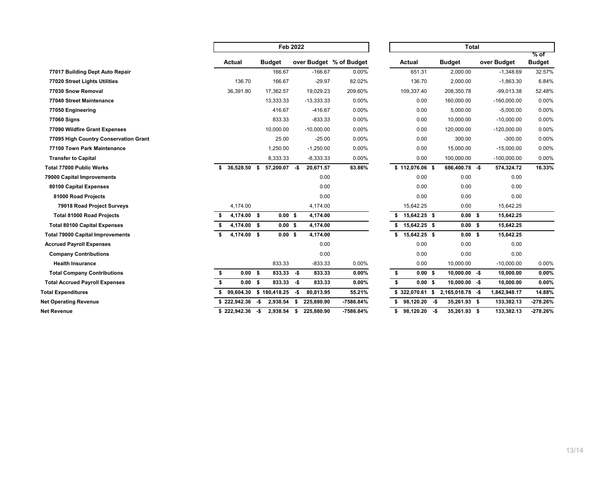|                                         | <b>Feb 2022</b>    |                   |                         |      |              |                         | <b>Total</b>            |     |                   |  |               |                       |
|-----------------------------------------|--------------------|-------------------|-------------------------|------|--------------|-------------------------|-------------------------|-----|-------------------|--|---------------|-----------------------|
|                                         | Actual             |                   | <b>Budget</b>           |      |              | over Budget % of Budget | Actual                  |     | <b>Budget</b>     |  | over Budget   | % of<br><b>Budget</b> |
| 77017 Building Dept Auto Repair         |                    |                   | 166.67                  |      | $-166.67$    | 0.00%                   | 651.31                  |     | 2,000.00          |  | $-1,348.69$   | 32.57%                |
| 77020 Street Lights Utilities           | 136.70             |                   | 166.67                  |      | $-29.97$     | 82.02%                  | 136.70                  |     | 2,000.00          |  | $-1,863.30$   | 6.84%                 |
| 77030 Snow Removal                      | 36,391.80          |                   | 17,362.57               |      | 19,029.23    | 209.60%                 | 109,337.40              |     | 208,350.78        |  | $-99,013.38$  | 52.48%                |
| 77040 Street Maintenance                |                    |                   | 13,333.33               |      | $-13,333.33$ | 0.00%                   | 0.00                    |     | 160,000.00        |  | $-160,000.00$ | 0.00%                 |
| 77050 Engineering                       |                    |                   | 416.67                  |      | $-416.67$    | 0.00%                   | 0.00                    |     | 5,000.00          |  | $-5,000.00$   | 0.00%                 |
| <b>77060 Signs</b>                      |                    |                   | 833.33                  |      | $-833.33$    | 0.00%                   | 0.00                    |     | 10,000.00         |  | $-10,000.00$  | 0.00%                 |
| 77090 Wildfire Grant Expenses           |                    |                   | 10,000.00               |      | $-10,000.00$ | 0.00%                   | 0.00                    |     | 120,000.00        |  | $-120,000.00$ | 0.00%                 |
| 77095 High Country Conservation Grant   |                    |                   | 25.00                   |      | $-25.00$     | 0.00%                   | 0.00                    |     | 300.00            |  | $-300.00$     | 0.00%                 |
| 77100 Town Park Maintenance             |                    |                   | 1,250.00                |      | $-1,250.00$  | 0.00%                   | 0.00                    |     | 15,000.00         |  | $-15,000.00$  | 0.00%                 |
| <b>Transfer to Capital</b>              |                    |                   | 8,333.33                |      | $-8,333.33$  | 0.00%                   | 0.00                    |     | 100,000.00        |  | $-100,000.00$ | 0.00%                 |
| <b>Total 77000 Public Works</b>         | 36,528.50 \$<br>\$ |                   | 57,200.07 -\$           |      | 20,671.57    | 63.86%                  | $$112,076.06$ \$        |     | 686,400.78 -\$    |  | 574,324.72    | 16.33%                |
| 79000 Capital Improvements              |                    |                   |                         |      | 0.00         |                         | 0.00                    |     | 0.00              |  | 0.00          |                       |
| 80100 Capital Expenses                  |                    |                   |                         |      | 0.00         |                         | 0.00                    |     | 0.00              |  | 0.00          |                       |
| 81000 Road Projects                     |                    |                   |                         |      | 0.00         |                         | 0.00                    |     | 0.00              |  | 0.00          |                       |
| 79018 Road Project Surveys              | 4,174.00           |                   |                         |      | 4,174.00     |                         | 15,642.25               |     | 0.00              |  | 15,642.25     |                       |
| <b>Total 81000 Road Projects</b>        | 4,174.00 \$        |                   | 0.00 S                  |      | 4,174.00     |                         | $$15,642.25$ \$         |     | 0.00 <sup>5</sup> |  | 15,642.25     |                       |
| <b>Total 80100 Capital Expenses</b>     | 4,174.00 \$        |                   | 0.00 S                  |      | 4,174.00     |                         | $$15,642.25$ \$         |     | 0.00 <sup>5</sup> |  | 15,642.25     |                       |
| <b>Total 79000 Capital Improvements</b> | 4,174.00 \$        |                   | $0.00 \,$ \$            |      | 4,174.00     |                         | 15,642.25 \$<br>\$      |     | 0.00 S            |  | 15,642.25     |                       |
| <b>Accrued Payroll Expenses</b>         |                    |                   |                         |      | 0.00         |                         | 0.00                    |     | 0.00              |  | 0.00          |                       |
| <b>Company Contributions</b>            |                    |                   |                         |      | 0.00         |                         | 0.00                    |     | 0.00              |  | 0.00          |                       |
| <b>Health Insurance</b>                 |                    |                   | 833.33                  |      | $-833.33$    | 0.00%                   | 0.00                    |     | 10,000.00         |  | $-10,000.00$  | 0.00%                 |
| <b>Total Company Contributions</b>      | s.                 | 0.00 <sup>5</sup> | $833.33 - $$            |      | 833.33       | 0.00%                   | \$<br>0.00 <sup>5</sup> |     | $10,000.00 - $$   |  | 10,000.00     | 0.00%                 |
| <b>Total Accrued Payroll Expenses</b>   | \$                 | $0.00$ \$         | $833.33 - $$            |      | 833.33       | 0.00%                   | \$<br>0.00 S            |     | $10,000.00 - $$   |  | 10,000.00     | 0.00%                 |
| <b>Total Expenditures</b>               |                    |                   | 99,604.30 \$ 180,418.25 | -\$  | 80,813.95    | 55.21%                  | $$322,070.61$ \$        |     | 2,165,018.78 -\$  |  | 1,842,948.17  | 14.88%                |
| <b>Net Operating Revenue</b>            | $$222.942.36$ -\$  |                   | 2,938.54 \$             |      | 225,880.90   | -7586.84%               | $98,120.20 - $$<br>s.   |     | 35,261.93 \$      |  | 133,382.13    | $-278.26%$            |
| <b>Net Revenue</b>                      | $$222,942.36$ -\$  |                   | 2,938.54                | - \$ | 225,880.90   | -7586.84%               | \$<br>98,120.20         | -\$ | 35,261.93 \$      |  | 133,382.13    | $-278.26%$            |